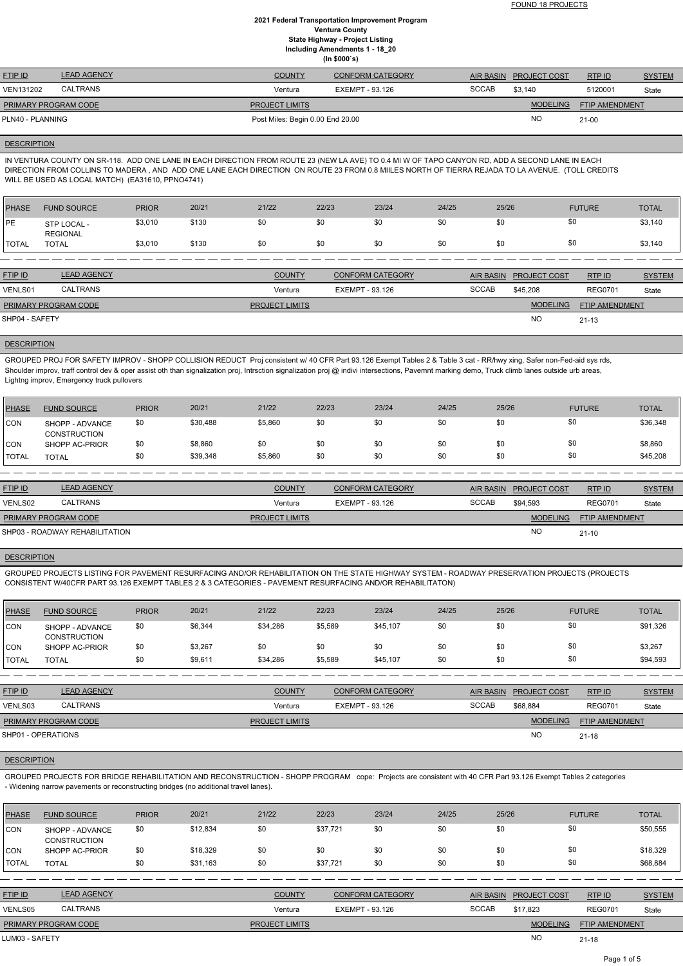| <b>FTIP ID</b>              | <b>LEAD AGENCY</b> | <b>COUNTY</b>                    | <b>CONFORM CATEGORY</b> | AIR BASIN    | <b>PROJECT COST</b> | RTP ID                | <b>SYSTEM</b> |
|-----------------------------|--------------------|----------------------------------|-------------------------|--------------|---------------------|-----------------------|---------------|
| VEN131202                   | <b>CALTRANS</b>    | Ventura                          | EXEMPT - 93.126         | <b>SCCAB</b> | \$3.140             | 5120001               | State         |
| <b>PRIMARY PROGRAM CODE</b> |                    | <b>PROJECT LIMITS</b>            |                         |              | <b>MODELING</b>     | <b>FTIP AMENDMENT</b> |               |
| PLN40 - PLANNING            |                    | Post Miles: Begin 0.00 End 20.00 |                         |              | NO                  | $21 - 00$             |               |

#### **DESCRIPTION**

IN VENTURA COUNTY ON SR-118. ADD ONE LANE IN EACH DIRECTION FROM ROUTE 23 (NEW LA AVE) TO 0.4 MI W OF TAPO CANYON RD, ADD A SECOND LANE IN EACH DIRECTION FROM COLLINS TO MADERA , AND ADD ONE LANE EACH DIRECTION ON ROUTE 23 FROM 0.8 MIILES NORTH OF TIERRA REJADA TO LA AVENUE. (TOLL CREDITS WILL BE USED AS LOCAL MATCH) (EA31610, PPNO4741)

| <b>PHASE</b> | <b>FUND SOURCE</b>             | <b>PRIOR</b> | 20/21 | 21/22 | 22/23 | 23/24 | 24/25 | 25/26 | <b>FUTURE</b> | <b>TOTAL</b> |
|--------------|--------------------------------|--------------|-------|-------|-------|-------|-------|-------|---------------|--------------|
| <b>PE</b>    | STP LOCAL -<br><b>REGIONAL</b> | \$3,010      | \$130 | \$0   | \$0   | \$0   | \$0   | \$0   | \$0           | \$3,140      |
| <b>TOTAL</b> | <b>TOTAL</b>                   | \$3,010      | \$130 | \$0   | \$0   | \$0   | \$0   | \$0   | \$0           | \$3,140      |
|              |                                |              |       |       |       |       |       |       |               |              |

| <b>FTIP ID</b>              | <b>LEAD AGENCY</b> | <b>COUNTY</b>         | <b>CONFORM CATEGORY</b> |              | AIR BASIN PROJECT COST | <b>RTPID</b>          | <b>SYSTEM</b> |
|-----------------------------|--------------------|-----------------------|-------------------------|--------------|------------------------|-----------------------|---------------|
| VENLS01                     | <b>CALTRANS</b>    | Ventura               | EXEMPT - 93.126         | <b>SCCAB</b> | \$45.208               | <b>REG0701</b>        | State         |
| <b>PRIMARY PROGRAM CODE</b> |                    | <b>PROJECT LIMITS</b> |                         |              | <b>MODELING</b>        | <b>FTIP AMENDMENT</b> |               |
| SHP04 - SAFETY              |                    |                       |                         |              | <b>NC</b>              | $21 - 13$             |               |

#### **DESCRIPTION**

GROUPED PROJ FOR SAFETY IMPROV - SHOPP COLLISION REDUCT Proj consistent w/ 40 CFR Part 93.126 Exempt Tables 2 & Table 3 cat - RR/hwy xing, Safer non-Fed-aid sys rds, Shoulder improv, traff control dev & oper assist oth than signalization proj, Intrsction signalization proj @ indivi intersections, Pavemnt marking demo, Truck climb lanes outside urb areas, Lightng improv, Emergency truck pullovers

| <b>PHASE</b> | <b>FUND SOURCE</b>                     | <b>PRIOR</b> | 20/21    | 21/22   | 22/23 | 23/24 | 24/25 | 25/26 | <b>FUTURE</b> | <b>TOTAL</b> |
|--------------|----------------------------------------|--------------|----------|---------|-------|-------|-------|-------|---------------|--------------|
| <b>CON</b>   | SHOPP - ADVANCE<br><b>CONSTRUCTION</b> | \$0          | \$30,488 | \$5,860 | \$0   | \$0   | \$0   | \$0   |               | \$36,348     |
| <b>CON</b>   | SHOPP AC-PRIOR                         | \$0          | \$8,860  | \$0     | \$0   | \$0   | \$0   | \$0   | \$0           | \$8,860      |
| <b>TOTAL</b> | TOTAL                                  | \$0          | \$39,348 | \$5,860 | \$0   | \$0   | \$0   | \$0   | \$0           | \$45,208     |

| <b>FTIP ID</b>              | <b>LEAD AGENCY</b>             | <b>COUNTY</b>         | <b>CONFORM CATEGORY</b> |              | AIR BASIN PROJECT COST | RTPID                 | <b>SYSTEM</b> |
|-----------------------------|--------------------------------|-----------------------|-------------------------|--------------|------------------------|-----------------------|---------------|
| VENLS02                     | <b>CALTRANS</b>                | Ventura               | EXEMPT - 93.126         | <b>SCCAB</b> | \$94.593               | <b>REG0701</b>        | State         |
| <b>PRIMARY PROGRAM CODE</b> |                                | <b>PROJECT LIMITS</b> |                         |              | <b>MODELING</b>        | <b>FTIP AMENDMENT</b> |               |
|                             | SHP03 - ROADWAY REHABILITATION |                       |                         |              | <b>NO</b>              | $21 - 10$             |               |

#### **DESCRIPTION**

GROUPED PROJECTS LISTING FOR PAVEMENT RESURFACING AND/OR REHABILITATION ON THE STATE HIGHWAY SYSTEM - ROADWAY PRESERVATION PROJECTS (PROJECTS CONSISTENT W/40CFR PART 93.126 EXEMPT TABLES 2 & 3 CATEGORIES - PAVEMENT RESURFACING AND/OR REHABILITATON)

| PHASE        | <b>FUND SOURCE</b>                     | <b>PRIOR</b> | 20/21   | 21/22    | 22/23   | 23/24    | 24/25 | 25/26 | <b>FUTURE</b> | <b>TOTAL</b> |
|--------------|----------------------------------------|--------------|---------|----------|---------|----------|-------|-------|---------------|--------------|
| CON          | SHOPP - ADVANCE<br><b>CONSTRUCTION</b> | \$0          | \$6,344 | \$34,286 | \$5,589 | \$45,107 | \$0   | \$0   | \$0           | \$91,326     |
| CON          | SHOPP AC-PRIOR                         | \$0          | \$3,267 | \$0      | \$0     | \$0      | \$0   | \$0   | \$0           | \$3,267      |
| <b>TOTAL</b> | <b>TOTAL</b>                           | \$0          | \$9,611 | \$34,286 | \$5,589 | \$45,107 | \$0   | \$0   | \$0           | \$94,593     |

| <b>FTIP ID</b>              | <b>LEAD AGENCY</b> | <b>COUNTY</b>         | <b>CONFORM CATEGORY</b> | AIR BASIN    | <b>PROJECT COST</b> | RTP ID                | <b>SYSTEM</b> |
|-----------------------------|--------------------|-----------------------|-------------------------|--------------|---------------------|-----------------------|---------------|
| VENLS03                     | CALTRANS           | Ventura               | EXEMPT - 93.126         | <b>SCCAB</b> | \$68.884            | <b>REG0701</b>        | State         |
| <b>PRIMARY PROGRAM CODE</b> |                    | <b>PROJECT LIMITS</b> |                         |              | <b>MODELING</b>     | <b>FTIP AMENDMENT</b> |               |

### **DESCRIPTION**

GROUPED PROJECTS FOR BRIDGE REHABILITATION AND RECONSTRUCTION - SHOPP PROGRAM cope: Projects are consistent with 40 CFR Part 93.126 Exempt Tables 2 categories - Widening narrow pavements or reconstructing bridges (no additional travel lanes).

| <b>PHASE</b>   | <b>FUND SOURCE</b>                     | <b>PRIOR</b> | 20/21    | 21/22                 | 22/23                  | 23/24                   | 24/25 | 25/26            |                     | <b>FUTURE</b>  | <b>TOTAL</b>  |
|----------------|----------------------------------------|--------------|----------|-----------------------|------------------------|-------------------------|-------|------------------|---------------------|----------------|---------------|
| CON            | SHOPP - ADVANCE<br><b>CONSTRUCTION</b> | \$0          | \$12,834 | \$0                   | \$37,721               | \$0                     | \$0   | \$0              | \$0                 |                | \$50,555      |
| ICON           | SHOPP AC-PRIOR                         | \$0          | \$18,329 | \$0                   | \$0                    | \$0                     | \$0   | \$0              | \$0                 |                | \$18,329      |
| <b>ITOTAL</b>  | <b>TOTAL</b>                           | \$0          | \$31,163 | \$0                   | \$37,721               | \$0                     | \$0   | \$0              | \$0                 |                | \$68,884      |
|                |                                        |              |          |                       |                        |                         |       |                  |                     |                |               |
| <b>FTIP ID</b> | <b>LEAD AGENCY</b>                     |              |          | <b>COUNTY</b>         |                        | <b>CONFORM CATEGORY</b> |       | <b>AIR BASIN</b> | <b>PROJECT COST</b> | RTP ID         | <b>SYSTEM</b> |
| VENLS05        | <b>CALTRANS</b>                        |              |          | Ventura               | <b>EXEMPT - 93.126</b> |                         |       | <b>SCCAB</b>     | \$17.823            | <b>REG0701</b> | State         |
|                | PRIMARY PROGRAM CODE                   |              |          | <b>PROJECT LIMITS</b> |                        |                         |       |                  | <b>MODELING</b>     | FTIP AMENDMENT |               |
| LUM03 - SAFETY |                                        |              |          |                       |                        |                         |       |                  | <b>NO</b>           | $21 - 18$      |               |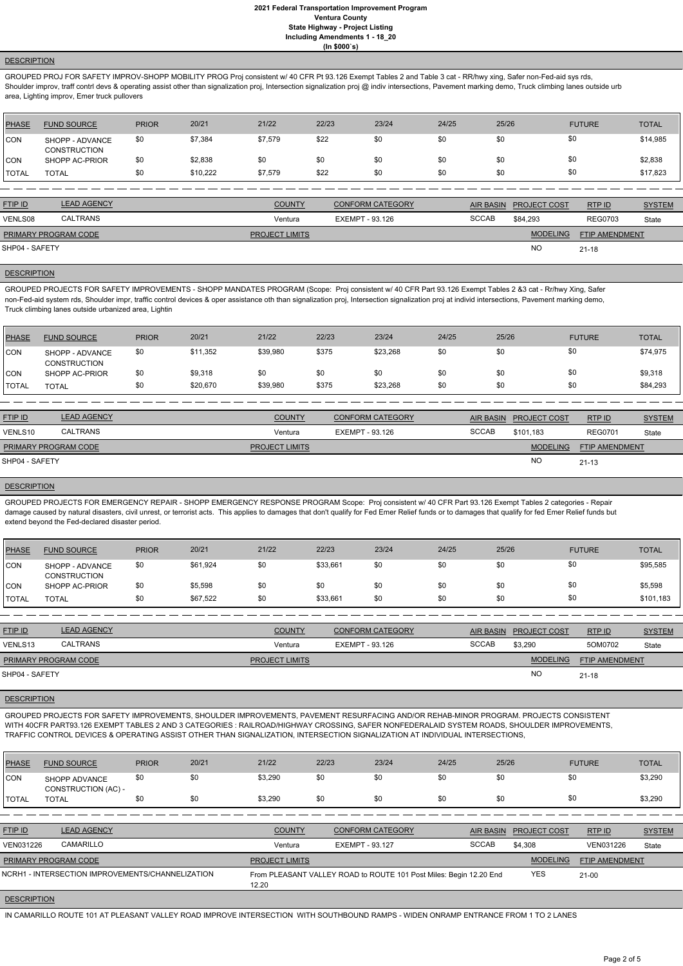#### **DESCRIPTION**

GROUPED PROJ FOR SAFETY IMPROV-SHOPP MOBILITY PROG Proj consistent w/ 40 CFR Pt 93.126 Exempt Tables 2 and Table 3 cat - RR/hwy xing, Safer non-Fed-aid sys rds, Shoulder improv, traff contrl devs & operating assist other than signalization proj, Intersection proj @ indiv intersections, Pavement marking demo, Truck climbing lanes outside urb area, Lighting improv, Emer truck pullovers

| <b>PHASE</b> | <b>FUND SOURCE</b>                     | <b>PRIOR</b> | 20/21    | 21/22   | 22/23 | 23/24 | 24/25 | 25/26 | <b>FUTURE</b> | <b>TOTAL</b> |
|--------------|----------------------------------------|--------------|----------|---------|-------|-------|-------|-------|---------------|--------------|
| <b>CON</b>   | SHOPP - ADVANCE<br><b>CONSTRUCTION</b> | \$0          | \$7,384  | \$7,579 | \$22  | \$0   | \$0   | \$0   | \$0           | \$14,985     |
| <b>CON</b>   | SHOPP AC-PRIOR                         | \$0          | \$2,838  | \$0     | \$0   | \$0   | \$0   |       | \$0           | \$2,838      |
| <b>TOTAL</b> | <b>TOTAL</b>                           | \$0          | \$10.222 | \$7,579 | \$22  | \$0   | \$0   | \$0   | \$0           | \$17,823     |

| <b>FTIP ID</b>              | <b>LEAD AGENCY</b> | <b>COUNTY</b>         | <b>CONFORM CATEGORY</b> | AIR BASIN    | <b>PROJECT COST</b> | RTP ID                | <b>SYSTEM</b> |
|-----------------------------|--------------------|-----------------------|-------------------------|--------------|---------------------|-----------------------|---------------|
| VENLS08                     | <b>CALTRANS</b>    | Ventura               | EXEMPT - 93.126         | <b>SCCAB</b> | \$84.293            | <b>REG0703</b>        | State         |
| <b>PRIMARY PROGRAM CODE</b> |                    | <b>PROJECT LIMITS</b> |                         |              | <b>MODELING</b>     | <b>FTIP AMENDMENT</b> |               |
| SHP04 - SAFETY              |                    |                       |                         |              | <b>NC</b>           | $21 - 18$             |               |

### **DESCRIPTION**

GROUPED PROJECTS FOR SAFETY IMPROVEMENTS - SHOPP MANDATES PROGRAM (Scope: Proj consistent w/ 40 CFR Part 93.126 Exempt Tables 2 &3 cat - Rr/hwy Xing, Safer non-Fed-aid system rds, Shoulder impr, traffic control devices & oper assistance oth than signalization proj, Intersection signalization proj at individ intersections, Pavement marking demo, Truck climbing lanes outside urbanized area, Lightin

| PHASE          | <b>FUND SOURCE</b>                     | <b>PRIOR</b> | 20/21    | 21/22    | 22/23 | 23/24    | 24/25 | 25/26 | <b>FUTURE</b> | <b>TOTAL</b> |
|----------------|----------------------------------------|--------------|----------|----------|-------|----------|-------|-------|---------------|--------------|
| CON            | SHOPP - ADVANCE<br><b>CONSTRUCTION</b> | \$0          | \$11,352 | \$39,980 | \$375 | \$23,268 | \$0   | \$0   | \$0           | \$74,975     |
| ICON           | SHOPP AC-PRIOR                         | \$0          | \$9,318  | \$0      | \$0   | \$0      | \$0   | \$0   | \$0           | \$9,318      |
| <b>I</b> TOTAL | TOTAL                                  | \$0          | \$20,670 | \$39,980 | \$375 | \$23,268 | \$0   | \$0   | \$0           | \$84,293     |

| <b>FTIP ID</b>       | <b>LEAD AGENCY</b> | <b>COUNTY</b>         | <b>CONFORM CATEGORY</b> |              | AIR BASIN PROJECT COST | RTPID                 | <b>SYSTEM</b> |
|----------------------|--------------------|-----------------------|-------------------------|--------------|------------------------|-----------------------|---------------|
| VENLS10              | CALTRANS           | Ventura               | EXEMPT - 93.126         | <b>SCCAB</b> | \$101.183              | <b>REG0701</b>        | State         |
| PRIMARY PROGRAM CODE |                    | <b>PROJECT LIMITS</b> |                         |              | <b>MODELING</b>        | <b>FTIP AMENDMENT</b> |               |
| SHP04 - SAFETY       |                    |                       |                         |              | NO                     | $21 - 13$             |               |

#### **DESCRIPTION**

GROUPED PROJECTS FOR EMERGENCY REPAIR - SHOPP EMERGENCY RESPONSE PROGRAM Scope: Proj consistent w/ 40 CFR Part 93.126 Exempt Tables 2 categories - Repair damage caused by natural disasters, civil unrest, or terrorist acts. This applies to damages that don't qualify for Fed Emer Relief funds or to damages that qualify for fed Emer Relief funds but extend beyond the Fed-declared disaster period.

| PHASE        | <b>FUND SOURCE</b>                     | <b>PRIOR</b> | 20/21    | 21/22 | 22/23    | 23/24 | 24/25 | 25/26 | <b>FUTURE</b> | <b>TOTAL</b> |
|--------------|----------------------------------------|--------------|----------|-------|----------|-------|-------|-------|---------------|--------------|
| <b>CON</b>   | SHOPP - ADVANCE<br><b>CONSTRUCTION</b> | \$0          | \$61,924 | \$0   | \$33,661 | \$0   | \$0   | \$0   | \$0           | \$95,585     |
| <b>CON</b>   | SHOPP AC-PRIOR                         | \$0          | \$5,598  | \$0   | \$0      | \$0   | \$0   | \$0   | \$0           | \$5,598      |
| <b>TOTAL</b> | <b>TOTAL</b>                           | \$0          | \$67,522 | \$0   | \$33,661 | \$0   | \$0   | \$0   | \$0           | \$101,183    |

| <b>FTIP ID</b>              | <b>LEAD AGENCY</b> | <b>COUNTY</b>         | <b>CONFORM CATEGORY</b> |              | AIR BASIN PROJECT COST | RTP ID                | <b>SYSTEM</b> |
|-----------------------------|--------------------|-----------------------|-------------------------|--------------|------------------------|-----------------------|---------------|
| VENLS13                     | <b>CALTRANS</b>    | Ventura               | EXEMPT - 93.126         | <b>SCCAB</b> | \$3,290                | 5OM0702               | State         |
| <b>PRIMARY PROGRAM CODE</b> |                    | <b>PROJECT LIMITS</b> |                         |              | <b>MODELING</b>        | <b>FTIP AMENDMENT</b> |               |
| SHP04 - SAFETY              |                    |                       |                         |              | <b>NO</b>              | $21 - 18$             |               |

#### **DESCRIPTION**

GROUPED PROJECTS FOR SAFETY IMPROVEMENTS, SHOULDER IMPROVEMENTS, PAVEMENT RESURFACING AND/OR REHAB-MINOR PROGRAM. PROJECTS CONSISTENT WITH 40CFR PART93.126 EXEMPT TABLES 2 AND 3 CATEGORIES : RAILROAD/HIGHWAY CROSSING, SAFER NONFEDERALAID SYSTEM ROADS, SHOULDER IMPROVEMENTS,

#### TRAFFIC CONTROL DEVICES & OPERATING ASSIST OTHER THAN SIGNALIZATION, INTERSECTION SIGNALIZATION AT INDIVIDUAL INTERSECTIONS,

| <b>PHASE</b>       | <b>FUND SOURCE</b>                               | <b>PRIOR</b> | 20/21 | 21/22                 | 22/23                  | 23/24                                                              | 24/25 | 25/26            |                     | <b>FUTURE</b>         | <b>TOTAL</b>  |
|--------------------|--------------------------------------------------|--------------|-------|-----------------------|------------------------|--------------------------------------------------------------------|-------|------------------|---------------------|-----------------------|---------------|
| ICON               | SHOPP ADVANCE<br>CONSTRUCTION (AC) -             | \$0          | \$0   | \$3,290               | \$0                    | \$0                                                                | \$0   | \$0              | \$0                 |                       | \$3,290       |
| <b>TOTAL</b>       | <b>TOTAL</b>                                     | \$0          | \$0   | \$3,290               | \$0                    | \$0                                                                | \$0   | \$0              | \$0                 |                       | \$3,290       |
|                    |                                                  |              |       |                       |                        |                                                                    |       |                  |                     |                       |               |
| <b>FTIP ID</b>     | <b>LEAD AGENCY</b>                               |              |       | <b>COUNTY</b>         |                        | <b>CONFORM CATEGORY</b>                                            |       | <b>AIR BASIN</b> | <b>PROJECT COST</b> | RTP ID                | <b>SYSTEM</b> |
| VEN031226          | CAMARILLO                                        |              |       | Ventura               | <b>EXEMPT - 93.127</b> |                                                                    |       | <b>SCCAB</b>     | \$4,308             | VEN031226             | State         |
|                    | PRIMARY PROGRAM CODE                             |              |       | <b>PROJECT LIMITS</b> |                        |                                                                    |       |                  | <b>MODELING</b>     | <b>FTIP AMENDMENT</b> |               |
|                    | NCRH1 - INTERSECTION IMPROVEMENTS/CHANNELIZATION |              |       | 12.20                 |                        | From PLEASANT VALLEY ROAD to ROUTE 101 Post Miles: Begin 12.20 End |       |                  | <b>YES</b>          | $21 - 00$             |               |
| <b>DESCRIPTION</b> |                                                  |              |       |                       |                        |                                                                    |       |                  |                     |                       |               |

IN CAMARILLO ROUTE 101 AT PLEASANT VALLEY ROAD IMPROVE INTERSECTION WITH SOUTHBOUND RAMPS - WIDEN ONRAMP ENTRANCE FROM 1 TO 2 LANES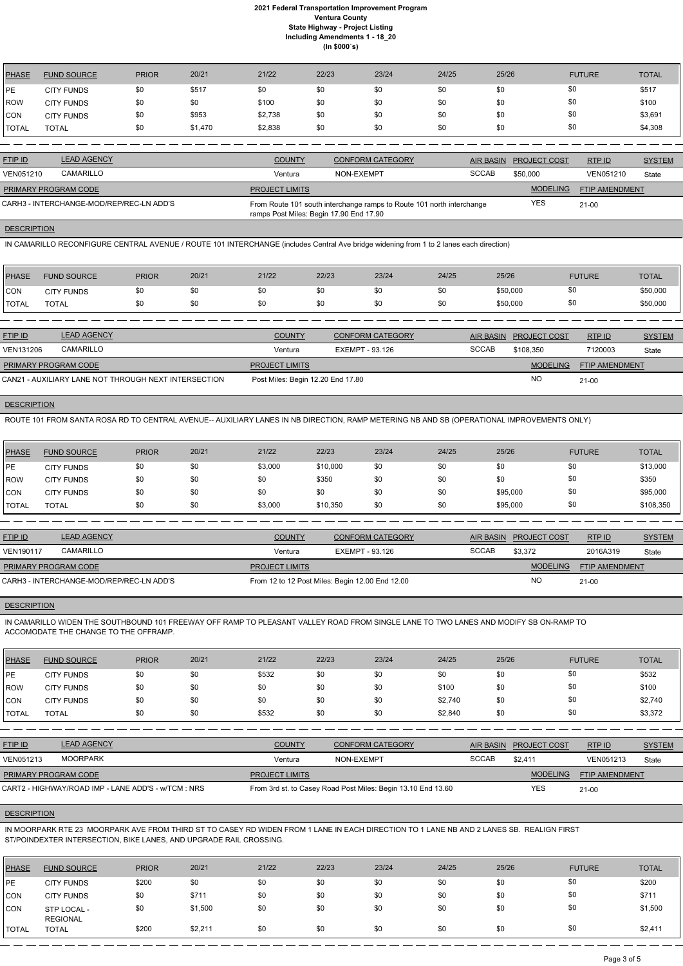| <b>PHASE</b>   | <b>FUND SOURCE</b> | <b>PRIOR</b> | 20/21   | 21/22   | 22/23 | 23/24 | 24/25 | 25/26 | <b>FUTURE</b> | <b>TOTAL</b> |
|----------------|--------------------|--------------|---------|---------|-------|-------|-------|-------|---------------|--------------|
| PE             | <b>CITY FUNDS</b>  | \$0          | \$517   | \$0     | \$0   | \$0   | \$0   | \$0   | \$0           | \$517        |
| ROW            | <b>CITY FUNDS</b>  | \$0          |         | \$100   | \$0   | \$0   | \$0   | \$0   | \$0           | \$100        |
| <b>CON</b>     | <b>CITY FUNDS</b>  | \$0          | \$953   | \$2,738 | \$0   | \$0   | \$0   | \$0   | \$0           | \$3,691      |
| <b>!</b> TOTAL | <b>TOTAL</b>       | \$0          | \$1,470 | \$2,838 | \$0   | \$0   | \$0   | \$0   | \$0           | \$4,308      |

| <b>FTIP ID</b>              | <b>LEAD AGENCY</b>                       | <b>COUNTY</b>                           | <b>CONFORM CATEGORY</b>                                               |              | AIR BASIN PROJECT COST | RTP ID                | <b>SYSTEM</b> |
|-----------------------------|------------------------------------------|-----------------------------------------|-----------------------------------------------------------------------|--------------|------------------------|-----------------------|---------------|
| <b>VEN051210</b>            | CAMARILLO                                | Ventura                                 | NON-EXEMPT                                                            | <b>SCCAB</b> | \$50,000               | VEN051210             | State         |
| <b>PRIMARY PROGRAM CODE</b> |                                          | <b>PROJECT LIMITS</b>                   |                                                                       |              | <b>MODELING</b>        | <b>FTIP AMENDMENT</b> |               |
|                             | CARH3 - INTERCHANGE-MOD/REP/REC-LN ADD'S | ramps Post Miles: Begin 17.90 End 17.90 | From Route 101 south interchange ramps to Route 101 north interchange |              | YES                    | $21-00$               |               |

#### **DESCRIPTION**

IN CAMARILLO RECONFIGURE CENTRAL AVENUE / ROUTE 101 INTERCHANGE (includes Central Ave bridge widening from 1 to 2 lanes each direction)

| PHASE        | <b>FUND SOURCE</b> | <b>PRIOR</b> | 20/21 | 21/22 | 22/23 | 23/24 | 24/25 | 25/26    | <b>FUTURE</b> | <b>TOTAL</b> |
|--------------|--------------------|--------------|-------|-------|-------|-------|-------|----------|---------------|--------------|
| <b>CON</b>   | <b>CITY FUNDS</b>  |              |       | \$0   | \$0   |       | \$0   | \$50,000 | \$0           | \$50,000     |
| <b>TOTAL</b> | TOTAL              |              |       | \$0   | \$0   |       | \$0   | \$50,000 | \$0           | \$50,000     |

| <b>FTIP ID</b>              | <b>LEAD AGENCY</b>                                   | <b>COUNTY</b>                     | <b>CONFORM CATEGORY</b> |              | AIR BASIN PROJECT COST | RTPID                 | <b>SYSTEM</b> |
|-----------------------------|------------------------------------------------------|-----------------------------------|-------------------------|--------------|------------------------|-----------------------|---------------|
| <b>VEN131206</b>            | CAMARILLO                                            | Ventura                           | EXEMPT - 93.126         | <b>SCCAB</b> | \$108.350              | 7120003               | State         |
| <b>PRIMARY PROGRAM CODE</b> |                                                      | <b>PROJECT LIMITS</b>             |                         |              | <b>MODELING</b>        | <b>FTIP AMENDMENT</b> |               |
|                             | CAN21 - AUXILIARY LANE NOT THROUGH NEXT INTERSECTION | Post Miles: Begin 12.20 End 17.80 |                         |              | <b>NO</b>              | $21 - 00$             |               |

# **DESCRIPTION**

ROUTE 101 FROM SANTA ROSA RD TO CENTRAL AVENUE-- AUXILIARY LANES IN NB DIRECTION, RAMP METERING NB AND SB (OPERATIONAL IMPROVEMENTS ONLY)

| <b>PHASE</b> | <b>FUND SOURCE</b> | <b>PRIOR</b> | 20/21 | 21/22   | 22/23    | 23/24 | 24/25 | 25/26    | <b>FUTURE</b> | <b>TOTAL</b> |
|--------------|--------------------|--------------|-------|---------|----------|-------|-------|----------|---------------|--------------|
| <b>IPE</b>   | <b>CITY FUNDS</b>  | \$0          | \$0   | \$3,000 | \$10,000 | \$0   | \$0   | \$0      | \$0           | \$13,000     |
| ROW          | <b>CITY FUNDS</b>  | \$0          | \$0   | \$0     | \$350    | \$0   | \$0   | \$0      | \$0           | \$350        |
| <b>CON</b>   | <b>CITY FUNDS</b>  | \$0          | \$0   | \$0     | \$0      | \$0   | \$0   | \$95,000 | \$0           | \$95,000     |
| <b>TOTAL</b> | <b>TOTAL</b>       | \$0          | \$0   | \$3,000 | \$10,350 | \$0   | \$0   | \$95,000 | \$0           | \$108,350    |

| <b>FTIP ID</b>              | <b>LEAD AGENCY</b>                       | <b>COUNTY</b>         | CONFORM CATEGORY                                | <b>AIR BASIN</b> | <b>PROJECT COST</b> | RTP ID                | <b>SYSTEM</b> |
|-----------------------------|------------------------------------------|-----------------------|-------------------------------------------------|------------------|---------------------|-----------------------|---------------|
| <b>VEN190117</b>            | CAMARILLO                                | Ventura               | EXEMPT - 93.126                                 | <b>SCCAB</b>     | \$3,372             | 2016A319              | State         |
| <b>PRIMARY PROGRAM CODE</b> |                                          | <b>PROJECT LIMITS</b> |                                                 |                  | <b>MODELING</b>     | <b>FTIP AMENDMENT</b> |               |
|                             | CARH3 - INTERCHANGE-MOD/REP/REC-LN ADD'S |                       | From 12 to 12 Post Miles: Begin 12.00 End 12.00 |                  | <b>NO</b>           | $21-00$               |               |

#### **DESCRIPTION**

IN CAMARILLO WIDEN THE SOUTHBOUND 101 FREEWAY OFF RAMP TO PLEASANT VALLEY ROAD FROM SINGLE LANE TO TWO LANES AND MODIFY SB ON-RAMP TO ACCOMODATE THE CHANGE TO THE OFFRAMP.

| <b>PHASE</b>  | <b>FUND SOURCE</b> | <b>PRIOR</b> | 20/21 | 21/22 | 22/23 | 23/24 | 24/25   | 25/26 | <b>FUTURE</b> | <b>TOTAL</b> |
|---------------|--------------------|--------------|-------|-------|-------|-------|---------|-------|---------------|--------------|
| <b>IPE</b>    | <b>CITY FUNDS</b>  | \$0          | \$0   | \$532 |       | \$0   | \$0     | \$0   | \$0           | \$532        |
| <b>IROW</b>   | <b>CITY FUNDS</b>  | \$0          | \$0   | \$0   |       | \$0   | \$100   | \$0   | \$0           | \$100        |
| <b>CON</b>    | <b>CITY FUNDS</b>  | \$0          | \$0   | \$0   |       | \$0   | \$2,740 | \$0   | \$0           | \$2,740      |
| <b>ITOTAL</b> | TOTAL              | \$0          | \$0   | \$532 | \$0   | \$0   | \$2,840 | \$0   | \$0           | \$3,372      |

| <b>FTIP ID</b>              | <b>LEAD AGENCY</b>                                  | <b>COUNTY</b>         | <b>CONFORM CATEGORY</b>                                      | <b>AIR BASIN</b> | <b>PROJECT COST</b> | RTP ID                | <b>SYSTEM</b> |
|-----------------------------|-----------------------------------------------------|-----------------------|--------------------------------------------------------------|------------------|---------------------|-----------------------|---------------|
| VEN051213                   | MOORPARK                                            | Ventura               | NON-EXEMPT                                                   | <b>SCCAB</b>     | \$2.411             | VEN051213             | State         |
| <b>PRIMARY PROGRAM CODE</b> |                                                     | <b>PROJECT LIMITS</b> |                                                              |                  | <b>MODELING</b>     | <b>FTIP AMENDMENT</b> |               |
|                             | CART2 - HIGHWAY/ROAD IMP - LANE ADD'S - w/TCM : NRS |                       | From 3rd st. to Casey Road Post Miles: Begin 13.10 End 13.60 |                  | YES                 | $21 - 00$             |               |

# **DESCRIPTION**

IN MOORPARK RTE 23 MOORPARK AVE FROM THIRD ST TO CASEY RD WIDEN FROM 1 LANE IN EACH DIRECTION TO 1 LANE NB AND 2 LANES SB. REALIGN FIRST ST/POINDEXTER INTERSECTION, BIKE LANES, AND UPGRADE RAIL CROSSING.

| <b>PHASE</b> | <b>FUND SOURCE</b>             | <b>PRIOR</b> | 20/21   | 21/22 | 22/23 | 23/24 | 24/25 | 25/26 | <b>FUTURE</b> | <b>TOTAL</b> |
|--------------|--------------------------------|--------------|---------|-------|-------|-------|-------|-------|---------------|--------------|
| <b>IPE</b>   | <b>CITY FUNDS</b>              | \$200        | \$0     | \$0   | \$0   | \$0   | \$0   | \$0   | \$0           | \$200        |
| CON          | <b>CITY FUNDS</b>              | \$0          | \$71'   | \$0   | \$0   | \$0   | \$0   | \$0   | \$0           | \$711        |
| <b>CON</b>   | STP LOCAL -<br><b>REGIONAL</b> | \$0          | \$1,500 | \$0   | \$0   | \$0   | \$0   | \$0   | \$0           | \$1,500      |
| <b>TOTAL</b> | <b>TOTAL</b>                   | \$200        | \$2,21' | \$0   | \$0   | \$0   | \$0   | \$0   | \$0           | \$2,411      |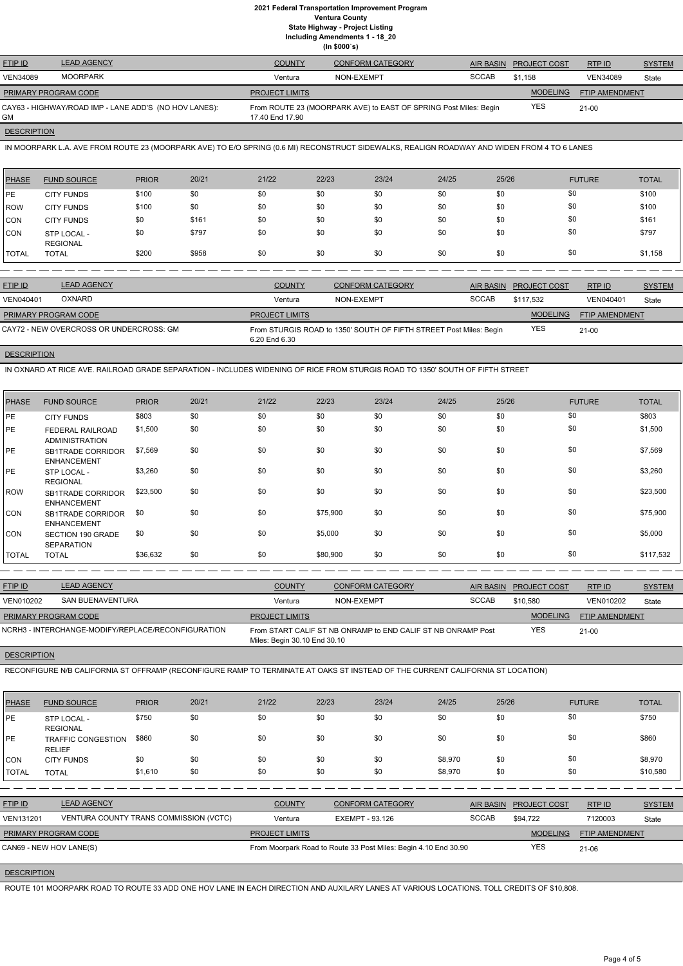| <b>FTIP ID</b>              | <b>LEAD AGENCY</b>                                    | <b>COUNTY</b>         | <b>CONFORM CATEGORY</b>                                          | <b>AIR BASIN</b> | <b>PROJECT COST</b> | RTPID                 | <b>SYSTEM</b> |
|-----------------------------|-------------------------------------------------------|-----------------------|------------------------------------------------------------------|------------------|---------------------|-----------------------|---------------|
| <b>VEN34089</b>             | <b>MOORPARK</b>                                       | Ventura               | NON-EXEMPT                                                       | <b>SCCAB</b>     | \$1.158             | <b>VEN34089</b>       | State         |
| <b>PRIMARY PROGRAM CODE</b> |                                                       | <b>PROJECT LIMITS</b> |                                                                  |                  | <b>MODELING</b>     | <b>FTIP AMENDMENT</b> |               |
| GM                          | CAY63 - HIGHWAY/ROAD IMP - LANE ADD'S (NO HOV LANES): | 17.40 End 17.90       | From ROUTE 23 (MOORPARK AVE) to EAST OF SPRING Post Miles: Begin |                  | <b>YES</b>          | $21 - 00$             |               |
|                             |                                                       |                       |                                                                  |                  |                     |                       |               |

## **DESCRIPTION**

IN MOORPARK L.A. AVE FROM ROUTE 23 (MOORPARK AVE) TO E/O SPRING (0.6 MI) RECONSTRUCT SIDEWALKS, REALIGN ROADWAY AND WIDEN FROM 4 TO 6 LANES

| <b>PHASE</b> | <b>FUND SOURCE</b>             | <b>PRIOR</b> | 20/21 | 21/22 | 22/23 | 23/24 | 24/25 | 25/26 | <b>FUTURE</b> | <b>TOTAL</b> |
|--------------|--------------------------------|--------------|-------|-------|-------|-------|-------|-------|---------------|--------------|
| <b>IPE</b>   | <b>CITY FUNDS</b>              | \$100        | \$0   | \$0   | \$0   | \$0   | \$0   | \$0   | \$0           | \$100        |
| ROW          | <b>CITY FUNDS</b>              | \$100        | \$0   | \$0   | \$0   | \$0   | \$0   | \$0   | \$0           | \$100        |
| <b>CON</b>   | <b>CITY FUNDS</b>              | \$0          | \$161 | \$0   | \$0   | \$0   | \$0   | \$0   | \$0           | \$161        |
| <b>CON</b>   | STP LOCAL -<br><b>REGIONAL</b> | \$0          | \$797 | \$0   | \$0   | \$0   | \$0   | \$0   | \$0           | \$797        |
| <b>TOTAL</b> | <b>TOTAL</b>                   | \$200        | \$958 | \$0   | \$0   | \$0   | \$0   | \$0   | \$0           | \$1,158      |

| <b>FTIP ID</b>       | <b>LEAD AGENCY</b>                      | <b>COUNTY</b>         | <b>CONFORM CATEGORY</b>                                            |              | AIR BASIN PROJECT COST | RTPID                 | <b>SYSTEM</b> |
|----------------------|-----------------------------------------|-----------------------|--------------------------------------------------------------------|--------------|------------------------|-----------------------|---------------|
| <b>VEN040401</b>     | <b>OXNARD</b>                           | Ventura               | NON-EXEMPT                                                         | <b>SCCAB</b> | \$117.532              | VEN040401             | State         |
| PRIMARY PROGRAM CODE |                                         | <b>PROJECT LIMITS</b> |                                                                    |              | <b>MODELING</b>        | <b>FTIP AMENDMENT</b> |               |
|                      | CAY72 - NEW OVERCROSS OR UNDERCROSS: GM | 6.20 End 6.30         | From STURGIS ROAD to 1350' SOUTH OF FIFTH STREET Post Miles: Begin |              | <b>YES</b>             | $21 - 00$             |               |

# **DESCRIPTION**

IN OXNARD AT RICE AVE. RAILROAD GRADE SEPARATION - INCLUDES WIDENING OF RICE FROM STURGIS ROAD TO 1350' SOUTH OF FIFTH STREET

| <b>PHASE</b> | <b>FUND SOURCE</b>                               | <b>PRIOR</b> | 20/21 | 21/22 | 22/23    | 23/24 | 24/25 | 25/26 | <b>FUTURE</b> | <b>TOTAL</b> |
|--------------|--------------------------------------------------|--------------|-------|-------|----------|-------|-------|-------|---------------|--------------|
| PE           | <b>CITY FUNDS</b>                                | \$803        | \$0   | \$0   | \$0      | \$0   | \$0   | \$0   | \$0           | \$803        |
| PE           | <b>FEDERAL RAILROAD</b><br><b>ADMINISTRATION</b> | \$1,500      | \$0   | \$0   | \$0      | \$0   | \$0   | \$0   | \$0           | \$1,500      |
| I PE         | <b>SB1TRADE CORRIDOR</b><br><b>ENHANCEMENT</b>   | \$7,569      | \$0   | \$0   | \$0      | \$0   | \$0   | \$0   | \$0           | \$7,569      |
| PE           | STP LOCAL -<br><b>REGIONAL</b>                   | \$3,260      | \$0   | \$0   | \$0      | \$0   | \$0   | \$0   | \$0           | \$3,260      |
| <b>ROW</b>   | <b>SB1TRADE CORRIDOR</b><br><b>ENHANCEMENT</b>   | \$23,500     | \$0   | \$0   | \$0      | \$0   | \$0   | \$0   | \$0           | \$23,500     |
| <b>CON</b>   | SB1TRADE CORRIDOR<br><b>ENHANCEMENT</b>          | \$0          | \$0   | \$0   | \$75,900 | \$0   | \$0   | \$0   | \$0           | \$75,900     |
| <b>CON</b>   | <b>SECTION 190 GRADE</b><br><b>SEPARATION</b>    | \$0          | \$0   | \$0   | \$5,000  | \$0   | \$0   | \$0   | \$0           | \$5,000      |
| <b>TOTAL</b> | <b>TOTAL</b>                                     | \$36,632     | \$0   | \$0   | \$80,900 | \$0   | \$0   | \$0   | \$0           | \$117,532    |

| <b>FTIP ID</b>              | <b>LEAD AGENCY</b>                                 | <b>COUNTY</b>                | <b>CONFORM CATEGORY</b>                                      | <b>AIR BASIN</b> | <b>PROJECT COST</b> | RTP ID                | <b>SYSTEM</b> |
|-----------------------------|----------------------------------------------------|------------------------------|--------------------------------------------------------------|------------------|---------------------|-----------------------|---------------|
| VEN010202                   | SAN BUENAVENTURA                                   | Ventura                      | NON-EXEMPT                                                   | <b>SCCAB</b>     | \$10,580            | VEN010202             | State         |
| <b>PRIMARY PROGRAM CODE</b> |                                                    | <b>PROJECT LIMITS</b>        |                                                              |                  | <b>MODELING</b>     | <b>FTIP AMENDMENT</b> |               |
|                             | NCRH3 - INTERCHANGE-MODIFY/REPLACE/RECONFIGURATION | Miles: Begin 30.10 End 30.10 | From START CALIF ST NB ONRAMP to END CALIF ST NB ONRAMP Post |                  | <b>YES</b>          | $21 - 00$             |               |

## **DESCRIPTION**

RECONFIGURE N/B CALIFORNIA ST OFFRAMP (RECONFIGURE RAMP TO TERMINATE AT OAKS ST INSTEAD OF THE CURRENT CALIFORNIA ST LOCATION)

| <b>PHASE</b> | <b>FUND SOURCE</b>             | <b>PRIOR</b> | 20/21 | 21/22 | 22/23 | 23/24 | 24/25 | 25/26 | <b>FUTURE</b> | <b>TOTAL</b> |
|--------------|--------------------------------|--------------|-------|-------|-------|-------|-------|-------|---------------|--------------|
| PE           | STP LOCAL -<br><b>REGIONAL</b> | \$750        | \$0   | \$0   | \$0   |       | \$0   | \$0   |               | \$750        |

| PE                          | <b>TRAFFIC CONGESTION</b><br><b>RELIEF</b> | \$860   | \$0 | \$0                   | \$0 | \$0                                                             | \$0     | \$0              | \$0                 |                       | \$860         |
|-----------------------------|--------------------------------------------|---------|-----|-----------------------|-----|-----------------------------------------------------------------|---------|------------------|---------------------|-----------------------|---------------|
| <b>CON</b>                  | <b>CITY FUNDS</b>                          | \$0     | \$0 | \$0                   | \$0 | \$0                                                             | \$8,970 | \$0              | \$0                 |                       | \$8,970       |
| <b>TOTAL</b>                | <b>TOTAL</b>                               | \$1,610 | \$0 | \$0                   | \$0 | \$0                                                             | \$8,970 | \$0              | \$0                 |                       | \$10,580      |
|                             |                                            |         |     |                       |     |                                                                 |         |                  |                     |                       |               |
| FTIP ID                     | <b>LEAD AGENCY</b>                         |         |     | <b>COUNTY</b>         |     | <b>CONFORM CATEGORY</b>                                         |         | <b>AIR BASIN</b> | <b>PROJECT COST</b> | RTP ID                | <b>SYSTEM</b> |
| <b>VEN131201</b>            | VENTURA COUNTY TRANS COMMISSION (VCTC)     |         |     | Ventura               |     | EXEMPT - 93.126                                                 |         | <b>SCCAB</b>     | \$94.722            | 7120003               | State         |
| <b>PRIMARY PROGRAM CODE</b> |                                            |         |     | <b>PROJECT LIMITS</b> |     |                                                                 |         |                  | <b>MODELING</b>     | <b>FTIP AMENDMENT</b> |               |
| CAN69 - NEW HOV LANE(S)     |                                            |         |     |                       |     | From Moorpark Road to Route 33 Post Miles: Begin 4.10 End 30.90 |         |                  | YES                 | $21 - 06$             |               |

# **DESCRIPTION**

ROUTE 101 MOORPARK ROAD TO ROUTE 33 ADD ONE HOV LANE IN EACH DIRECTION AND AUXILARY LANES AT VARIOUS LOCATIONS. TOLL CREDITS OF \$10,808.